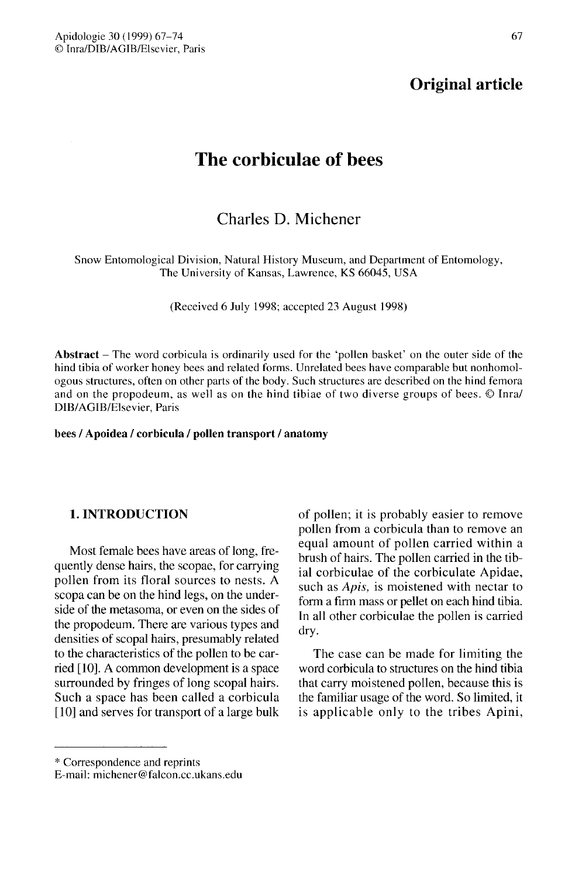# Original article

# The corbiculae of bees

# Charles D. Michener

Snow Entomological Division, Natural History Museum, and Department of Entomology, The University of Kansas, Lawrence, KS 66045, USA

(Received 6 July 1998; accepted 23 August 1998)

Abstract  $-$  The word corbicula is ordinarily used for the 'pollen basket' on the outer side of the hind tibia of worker honey bees and related forms. Unrelated bees have comparable but nonhomologous structures, often on other parts of the body. Such structures are described on the hind femora and on the propodeum, as well as on the hind tibiae of two diverse groups of bees. © Inra/ DIB/AGIB/Elsevier, Paris

#### bees / Apoidea / corbicula / pollen transport / anatomy

### 1. INTRODUCTION

Most female bees have areas of long, frequently dense hairs, the scopae, for carrying pollen from its floral sources to nests. A scopa can be on the hind legs, on the underside of the metasoma, or even on the sides of the propodeum. There are various types and densities of scopal hairs, presumably related to the characteristics of the pollen to be carried [10]. A common development is a space surrounded by fringes of long scopal hairs. Such a space has been called a corbicula [10] and serves for transport of a large bulk

of pollen; it is probably easier to remove pollen from a corbicula than to remove an equal amount of pollen carried within a brush of hairs. The pollen carried in the tibial corbiculae of the corbiculate Apidae, such as *Apis*, is moistened with nectar to form a firm mass or pellet on each hind tibia. In all other corbiculae the pollen is carried dry.

The case can be made for limiting the word corbicula to structures on the hind tibia that carry moistened pollen, because this is the familiar usage of the word. So limited, it is applicable only to the tribes Apini,

<sup>\*</sup> Correspondence and reprints

E-mail: michener@falcon.cc.ukans.edu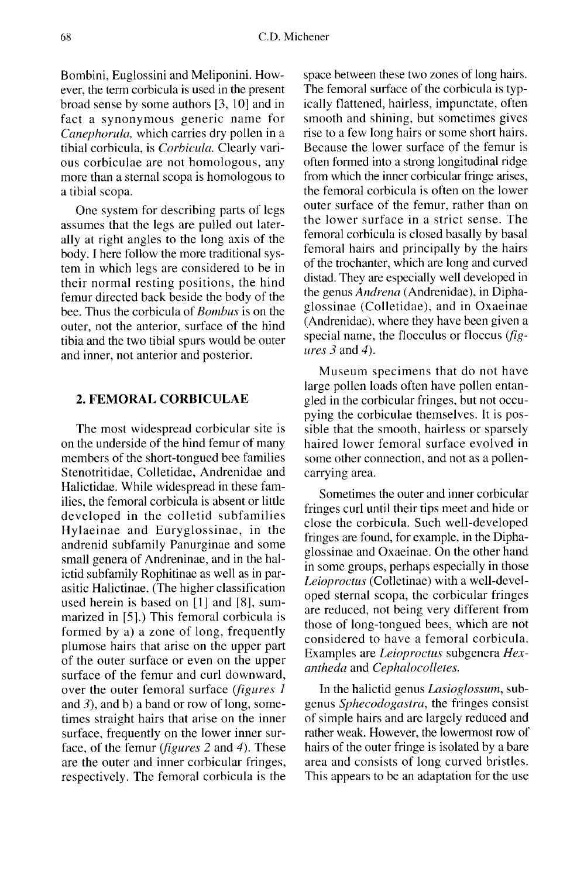Bombini, Euglossini and Meliponini. However, the term corbicula is used in the present broad sense by some authors [3, 10] and in fact a synonymous generic name for Canephorula, which carries dry pollen in a tibial corbicula, is Corbicula. Clearly various corbiculae are not homologous, any more than a sternal scopa is homologous to a tibial scopa.

One system for describing parts of legs assumes that the legs are pulled out laterally at right angles to the long axis of the body. I here follow the more traditional system in which legs are considered to be in their normal resting positions, the hind femur directed back beside the body of the bee. Thus the corbicula of Bombus is on the outer, not the anterior, surface of the hind tibia and the two tibial spurs would be outer and inner, not anterior and posterior.

#### 2. FEMORAL CORBICULAE

The most widespread corbicular site is on the underside of the hind femur of many members of the short-tongued bee families Stenotritidae, Colletidae, Andrenidae and Halictidae. While widespread in these families, the femoral corbicula is absent or little developed in the colletid subfamilies Hylaeinae and Euryglossinae, in the andrenid subfamily Panurginae and some small genera of Andreninae, and in the halictid subfamily Rophitinae as well as in parasitic Halictinae. (The higher classification used herein is based on [1] and [8], summarized in [5].) This femoral corbicula is formed by a) a zone of long, frequently plumose hairs that arise on the upper part of the outer surface or even on the upper surface of the femur and curl downward, over the outer femoral surface (figures 1) and  $3$ ), and b) a band or row of long, sometimes straight hairs that arise on the inner surface, frequently on the lower inner surface, of the femur (*figures* 2 and 4). These are the outer and inner corbicular fringes, respectively. The femoral corbicula is the

space between these two zones of long hairs. The femoral surface of the corbicula is typically flattened, hairless, impunctate, often smooth and shining, but sometimes gives rise to a few long hairs or some short hairs. Because the lower surface of the femur is often formed into a strong longitudinal ridge from which the inner corbicular fringe arises, the femoral corbicula is often on the lower outer surface of the femur, rather than on the lower surface in a strict sense. The femoral corbicula is closed basally by basal femoral hairs and principally by the hairs of the trochanter, which are long and curved distad. They are especially well developed in the genus Andrena (Andrenidae), in Diphaglossinae (Colletidae), and in Oxaeinae (Andrenidae), where they have been given a special name, the flocculus or floccus (figures  $3$  and  $4$ ).

Museum specimens that do not have large pollen loads often have pollen entangled in the corbicular fringes, but not occupying the corbiculae themselves. It is possible that the smooth, hairless or sparsely haired lower femoral surface evolved in some other connection, and not as a pollencarrying area.

Sometimes the outer and inner corbicular fringes curl until their tips meet and hide or close the corbicula. Such well-developed fringes are found, for example, in the Diphaglossinae and Oxaeinae. On the other hand in some groups, perhaps especially in those Leioproctus (Colletinae) with a well-developed sternal scopa, the corbicular fringes are reduced, not being very different from those of long-tongued bees, which are not considered to have a femoral corbicula. Examples are Leioproctus subgenera Hexantheda and Cephalocolletes.

In the halictid genus *Lasioglossum*, subgenus Sphecodogastra, the fringes consist of simple hairs and are largely reduced and rather weak. However, the lowermost row of hairs of the outer fringe is isolated by a bare area and consists of long curved bristles. This appears to be an adaptation for the use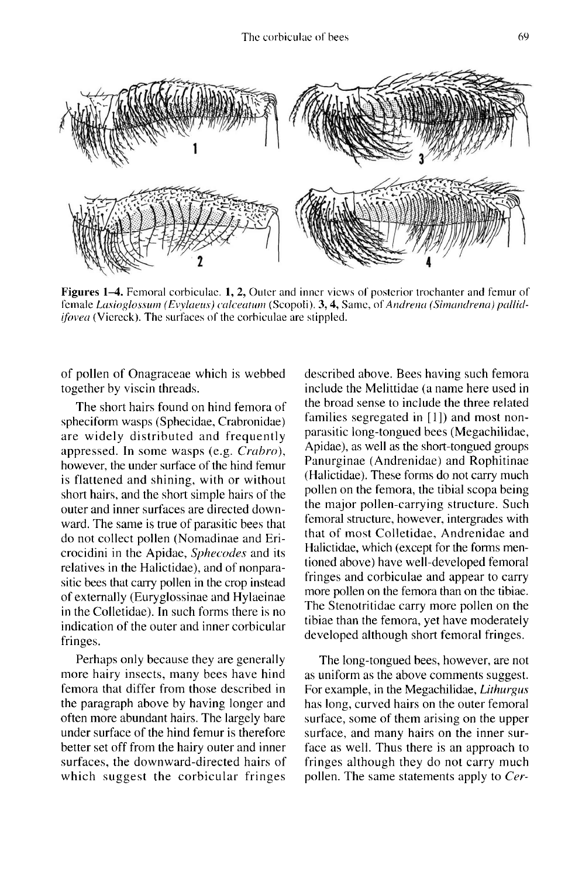

Figures 1–4. Femoral corbiculae. 1, 2, Outer and inner views of posterior trochanter and femur of female Lasioglossum (Evylaeus) calceatum (Scopoli), 3, 4, Same, of Andrena (Simandrena) pallid*ifovea* (Viereck). The surfaces of the corbiculae are stippled.

of pollen of Onagraceae which is webbed together by viscin threads.

The short hairs found on hind femora of spheciform wasps (Sphecidae, Crabronidae) are widely distributed and frequently appressed. In some wasps (e.g. Crahro), however, the under surface of the hind femur is flattened and shining, with or without short hairs, and the short simple hairs of the outer and inner surfaces are directed downward. The same is true of parasitic bees that do not collect pollen (Nomadinae and Ericrocidini in the Apidae, Sphecodes and its relatives in the Halictidae), and of nonparasitic bees that carry pollen in the crop instead of externally (Euryglossinae and Hylaeinae in the Colletidae). In such forms there is no indication of the outer and inner corbicular fringes.

Perhaps only because they are generally more hairy insects, many bees have hind femora that differ from those described in the paragraph above by having longer and often more abundant hairs. The largely bare under surface of the hind femur is therefore better set off from the hairy outer and inner surfaces, the downward-directed hairs of which suggest the corbicular fringes

described above. Bees having such femora include the Melittidae (a name here used in the broad sense to include the three related families segregated in [1]) and most nonparasitic long-tongued bees (Megachilidae, Apidae), as well as the short-tongued groups Panurginae (Andrenidae) and Rophitinae (Halictidae). These forms do not carry much pollen on the femora, the tibial scopa being the major pollen-carrying structure. Such femoral structure, however, intergrades with that of most Colletidae, Andrenidae and Halictidae, which (except for the forms mentioned above) have well-developed femoral fringes and corbiculae and appear to carry more pollen on the femora than on the tibiae. The Stenotritidae carry more pollen on the tibiae than the femora, yet have moderately developed although short femoral fringes.

The long-tongued bees, however, are not as uniform as the above comments suggest. For example, in the Megachilidae, Lithurgus has long, curved hairs on the outer femoral surface, some of them arising on the upper surface, and many hairs on the inner surface as well. Thus there is an approach to fringes although they do not carry much pollen. The same statements apply to Cer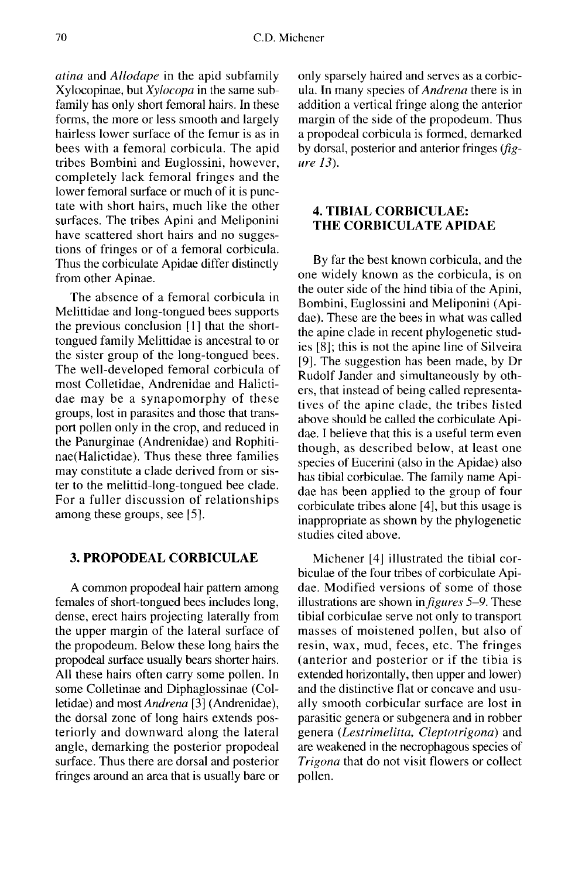atina and Allodape in the apid subfamily Xylocopinae, but Xylocopa in the same subfamily has only short femoral hairs. In these forms, the more or less smooth and largely hairless lower surface of the femur is as in bees with a femoral corbicula. The apid tribes Bombini and Euglossini, however, completely lack femoral fringes and the lower femoral surface or much of it is punctate with short hairs, much like the other surfaces. The tribes Apini and Meliponini have scattered short hairs and no suggestions of fringes or of a femoral corbicula. Thus the corbiculate Apidae differ distinctly from other Apinae.

The absence of a femoral corbicula in Melittidae and long-tongued bees supports the previous conclusion [1] that the shorttongued family Melittidae is ancestral to or the sister group of the long-tongued bees. The well-developed femoral corbicula of most Colletidae, Andrenidae and Halictidae may be a synapomorphy of these groups, lost in parasites and those that transport pollen only in the crop, and reduced in the Panurginae (Andrenidae) and Rophitinae(Halictidae). Thus these three families may constitute a clade derived from or sister to the melittid-long-tongued bee clade. For a fuller discussion of relationships among these groups, see [5].

# 3. PROPODEAL CORBICULAE

A common propodeal hair pattern among females of short-tongued bees includes long, dense, erect hairs projecting laterally from the upper margin of the lateral surface of the propodeum. Below these long hairs the propodeal surface usually bears shorter hairs. All these hairs often carry some pollen. In some Colletinae and Diphaglossinae (Colletidae) and most Andrena [3] (Andrenidae), the dorsal zone of long hairs extends posteriorly and downward along the lateral angle, demarking the posterior propodeal surface. Thus there are dorsal and posterior fringes around an area that is usually bare or only sparsely haired and serves as a corbicula. In many species of Andrena there is in addition a vertical fringe along the anterior margin of the side of the propodeum. Thus a propodeal corbicula is formed, demarked by dorsal, posterior and anterior fringes  $(f \circ g - g)$ ure 13).

## 4. TIBIAL CORBICULAE: THE CORBICULATE APIDAE

By far the best known corbicula, and the one widely known as the corbicula, is on the outer side of the hind tibia of the Apini, Bombini, Euglossini and Meliponini (Apidae). These are the bees in what was called the apine clade in recent phylogenetic studies [8]; this is not the apine line of Silveira [9]. The suggestion has been made, by Dr Rudolf Jander and simultaneously by others, that instead of being called representatives of the apine clade, the tribes listed above should be called the corbiculate Apidae. I believe that this is a useful term even though, as described below, at least one species of Eucerini (also in the Apidae) also has tibial corbiculae. The family name Apidae has been applied to the group of four corbiculate tribes alone [4], but this usage is inappropriate as shown by the phylogenetic studies cited above.

Michener [4] illustrated the tibial corbiculae of the four tribes of corbiculate Apidae. Modified versions of some of those illustrations are shown in  $figures 5-9$ . These tibial corbiculae serve not only to transport masses of moistened pollen, but also of resin, wax, mud, feces, etc. The fringes (anterior and posterior or if the tibia is extended horizontally, then upper and lower) and the distinctive flat or concave and usually smooth corbicular surface are lost in parasitic genera or subgenera and in robber genera (Lestrimelitta, Cleptotrigona) and are weakened in the necrophagous species of Trigona that do not visit flowers or collect pollen.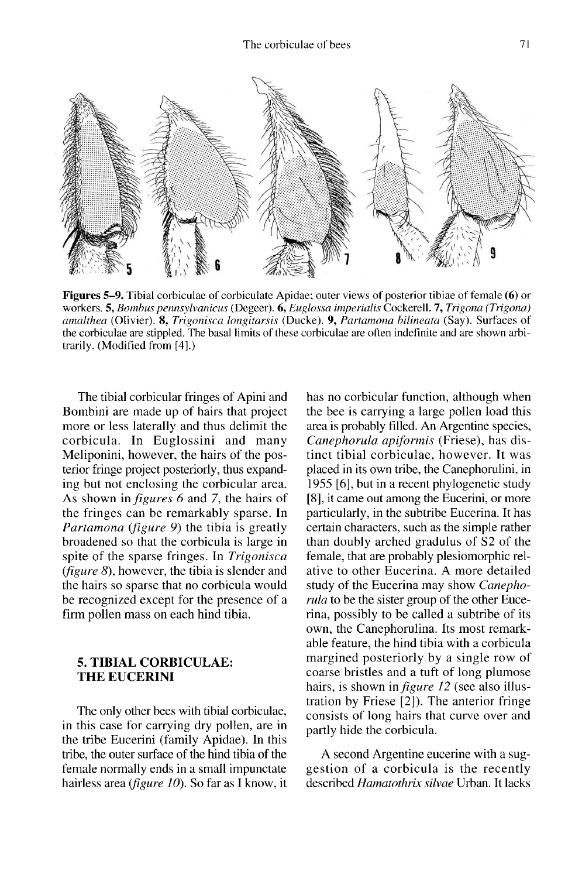

Figures 5–9. Tibial corbiculae of corbiculate Apidae; outer views of posterior tibiae of female (6) or workers. 5, Bombus pennsylvanicus (Degeer). 6, Euglossa imperialis Cockerell. 7, Trigona (Trigona) amalthea (Olivier). 8, Trigonisca longitarsis (Ducke). 9, Partamona bilineata (Say). Surfaces of the corbiculae are stippled. The basal limits of these corbiculae are often indefinite and are shown arbitrarily. (Modified from [4].)

The tibial corbicular fringes of Apini and Bombini are made up of hairs that project more or less laterally and thus delimit the corbicula. In Euglossini and many Meliponini, however, the hairs of the posterior fringe project posteriorly, thus expanding but not enclosing the corbicular area. As shown in figures 6 and 7, the hairs of the fringes can be remarkably sparse. In Partamona (figure 9) the tibia is greatly broadened so that the corbicula is large in spite of the sparse fringes. In Trigonisca (figure 8), however, the tibia is slender and the hairs so sparse that no corbicula would be recognized except for the presence of a firm pollen mass on each hind tibia.

#### 5. TIBIAL CORBICULAE: THE EUCERINI

The only other bees with tibial corbiculae, in this case for carrying dry pollen, are in the tribe Eucerini (family Apidae). In this tribe, the outer surface of the hind tibia of the female normally ends in a small impunctate hairless area (figure 10). So far as I know, it

has no corbicular function, although when the bee is carrying a large pollen load this area is probably filled. An Argentine species, Canephorula apiformis (Friese), has distinct tibial corbiculae, however. It was placed in its own tribe, the Canephorulini, in 1955 [6], but in a recent phylogenetic study [8], it came out among the Eucerini, or more particularly, in the subtribe Eucerina. It has certain characters, such as the simple rather than doubly arched gradulus of S2 of the female, that are probably plesiomorphic relative to other Eucerina. A more detailed study of the Eucerina may show Canephorula to be the sister group of the other Eucerina, possibly to be called a subtribe of its own, the Canephorulina. Its most remarkable feature, the hind tibia with a corbicula margined posteriorly by a single row of coarse bristles and a tuft of long plumose hairs, is shown in *figure 12* (see also illustration by Friese [2]). The anterior fringe consists of long hairs that curve over and partly hide the corbicula.

A second Argentine eucerine with a suggestion of a corbicula is the recently described Hamatothrix silvae Urban. It lacks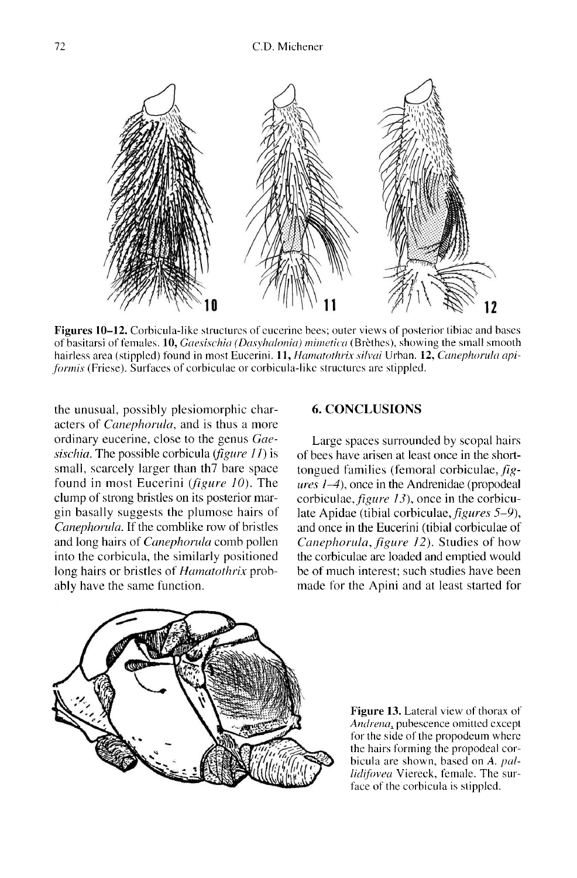

**Figures 10–12.** Corbicula-like structures of eucerine bees; outer views of posterior tibiae and bases of basitarsi of females. 10, *Gaesischia (Dasyhalonia) mimetica* (Brèthes), showing the small smooth hairless area (stippled) found in most Eucerini. 11, Hamatothrix silvai Urban. 12, Canephorula apiformis (Friese). Surfaces of corbiculae or corbicula-like structures are stippled.

the unusual, possibly plesiomorphic characters of *Canephorula*, and is thus a more ordinary eucerine, close to the genus Gaesischia. The possible corbicula (figure  $11$ ) is small, scarcely larger than th7 bare space found in most Eucerini (figure 10). The clump of strong bristles on its posterior margin basally suggests the plumose hairs of Canephorula. If the comblike row of bristles and long hairs of Canephorula comb pollen into the corbicula, the similarly positioned long hairs or bristles of *Hamatothrix* probably have the same function.

### 6. CONCLUSIONS

Large spaces surrounded by scopal hairs of bees have arisen at least once in the shorttongued families (femoral corbiculae, fig  $ures I-4$ ), once in the Andrenidae (propodeal corbiculae, figure 13), once in the corbiculate Apidae (tibial corbiculae, *figures* 5–9), and once in the Eucerini (tibial corbiculae of Canephorula, figure 12). Studies of how the corbiculae are loaded and emptied would be of much interest; such studies have been made for the Apini and at least started for



Figure 13. Lateral view of thorax of Andrena, pubescence omitted except for the side of the propodeum where the hairs forming the propodeal corbicula are shown, based on A. pallidifovea Viereck, female. The surface of the corbicula is stippled.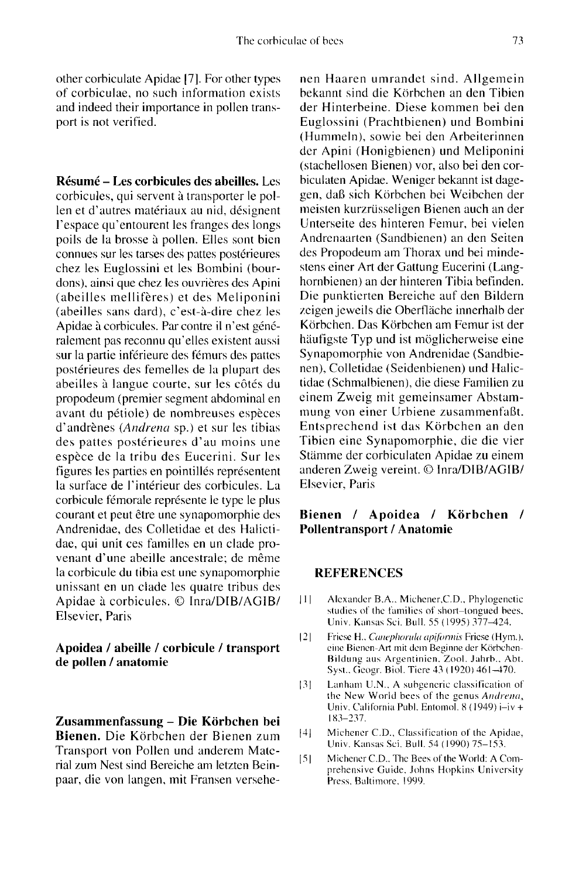other corbiculate Apidae [7]. For other types of corbiculae, no such information exists and indeed their importance in pollen transport is not verified.

Résumé - Les corbicules des abeilles. Les corbicules, qui servent à transporter le pollen et d'autres matériaux au nid, désignent l'espace qu'entourent les franges des longs poils de la brosse à pollen. Elles sont bien connues sur les tarses des pattes postérieures chez les Euglossini et les Bombini (bourdons), ainsi que chez les ouvrières des Apini (abeilles mellifères) et des Meliponini (abeilles sans dard), c'est-à-dire chez les Apidae à corbicules. Par contre il n'est généralement pas reconnu qu'elles existent aussi sur la partie inférieure des fémurs des pattes postérieures des femelles de la plupart des abeilles à langue courte, sur les côtés du propodeum (premier segment abdominal en avant du pétiole) de nombreuses espèces d'andrènes (Andrena sp.) et sur les tibias des pattes postérieures d'au moins une espèce de la tribu des Eucerini. Sur les figures les parties en pointillés représentent la surface de l'intérieur des corbicules. La corbicule fémorale représente le type le plus courant et peut être une synapomorphie des Andrenidae, des Colletidae et des Halictidae, qui unit ces familles en un clade provenant d'une abeille ancestrale; de même la corbicule du tibia est une synapomorphie unissant en un clade les quatre tribus des Apidae à corbicules. © Inra/DIB/AGIB/ Elsevier, Paris

### Apoidea / abeille / corbicule / transport de pollen / anatomie

Zusammenfassung - Die Körbchen bei Bienen. Die Körbchen der Bienen zum Transport von Pollen und anderem Material zum Nest sind Bereiche am letzten Beinpaar, die von langen, mit Fransen versehenen Haaren umrandet sind. Allgemein bekannt sind die Körbchen an den Tibien der Hinterbeine. Diese kommen bei den Euglossini (Prachtbienen) und Bombini (Hummeln), sowie bei den Arbeiterinnen der Apini (Honigbienen) und Meliponini (stachellosen Bienen) vor, also bei den corbiculaten Apidae. Weniger bekannt ist dagegen, daß sich Körbchen bei Weibchen der meisten kurzrüsseligen Bienen auch an der Unterseite des hinteren Femur, bei vielen Andrenaarten (Sandbienen) an den Seiten des Propodeum am Thorax und bei mindestens einer Art der Gattung Eucerini (Langhornbienen) an der hinteren Tibia befinden. Die punktierten Bereiche auf den Bildern zeigen jeweils die Oberfläche innerhalb der Körbchen. Das Körbchen am Femur ist der häufigste Typ und ist möglicherweise eine Synapomorphie von Andrenidae (Sandbienen), Colletidae (Seidenbienen) und Halictidae (Schmalbienen), die diese Familien zu einem Zweig mit gemeinsamer Abstammung von einer Urbiene zusammenfaßt. Entsprechend ist das Körbchen an den Tibien eine Synapomorphie, die die vier Stämme der corbiculaten Apidae zu einem anderen Zweig vereint. © Inra/DIB/AGIB/ Elsevier, Paris

## Bienen / Apoidea / Körbchen / Pollentransport / Anatomie

#### REFERENCES

- [1] Alexander B.A., Michener, C.D., Phylogenetic studies of the families of short-tongued bees. Univ. Kansas Sci. Bull. 55 (1995) 377-424.
- [2] Friese H., Canephorula apiformis Friese (Hym.).<br>eine Bienen-Art mit dem Beginne der Körbchen-Bildung aus Argentinien. Zool. Jahrb., Abt. Syst., Geogr. Biol. Ticre 43 ( 1920) 461-470.
- [3] Lanham U.N.. A suhgenerie classification of the New World bees of the genus Andrena, Univ. California Publ. Entomol. 8 (1949) i-iv + 183-237.
- [4] Michener C.D., Classification of the Apidae, Univ. Kansas Sci. Bull. 54 (1990) 75-153.
- [5] Michener C.D., The Bees of the World: A Comprehensive Guide, Johns Hopkins University Press, Baltimore. 1999.